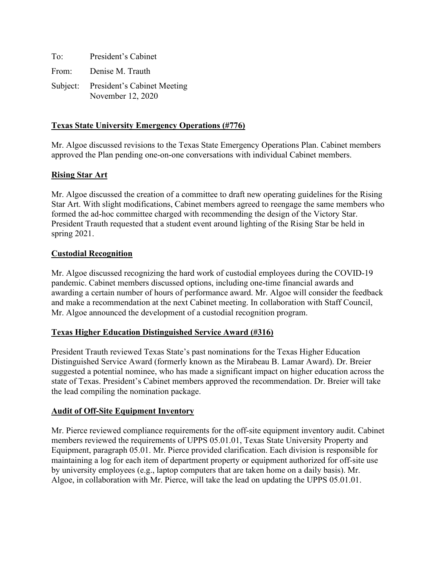To: President's Cabinet From: Denise M. Trauth Subject: President's Cabinet Meeting November 12, 2020

# **Texas State University Emergency Operations (#776)**

Mr. Algoe discussed revisions to the Texas State Emergency Operations Plan. Cabinet members approved the Plan pending one-on-one conversations with individual Cabinet members.

# **Rising Star Art**

Mr. Algoe discussed the creation of a committee to draft new operating guidelines for the Rising Star Art. With slight modifications, Cabinet members agreed to reengage the same members who formed the ad-hoc committee charged with recommending the design of the Victory Star. President Trauth requested that a student event around lighting of the Rising Star be held in spring 2021.

## **Custodial Recognition**

Mr. Algoe discussed recognizing the hard work of custodial employees during the COVID-19 pandemic. Cabinet members discussed options, including one-time financial awards and awarding a certain number of hours of performance award. Mr. Algoe will consider the feedback and make a recommendation at the next Cabinet meeting. In collaboration with Staff Council, Mr. Algoe announced the development of a custodial recognition program.

# **Texas Higher Education Distinguished Service Award (#316)**

President Trauth reviewed Texas State's past nominations for the Texas Higher Education Distinguished Service Award (formerly known as the Mirabeau B. Lamar Award). Dr. Breier suggested a potential nominee, who has made a significant impact on higher education across the state of Texas. President's Cabinet members approved the recommendation. Dr. Breier will take the lead compiling the nomination package.

## **Audit of Off-Site Equipment Inventory**

Mr. Pierce reviewed compliance requirements for the off-site equipment inventory audit. Cabinet members reviewed the requirements of UPPS 05.01.01, Texas State University Property and Equipment, paragraph 05.01. Mr. Pierce provided clarification. Each division is responsible for maintaining a log for each item of department property or equipment authorized for off-site use by university employees (e.g., laptop computers that are taken home on a daily basis). Mr. Algoe, in collaboration with Mr. Pierce, will take the lead on updating the UPPS 05.01.01.